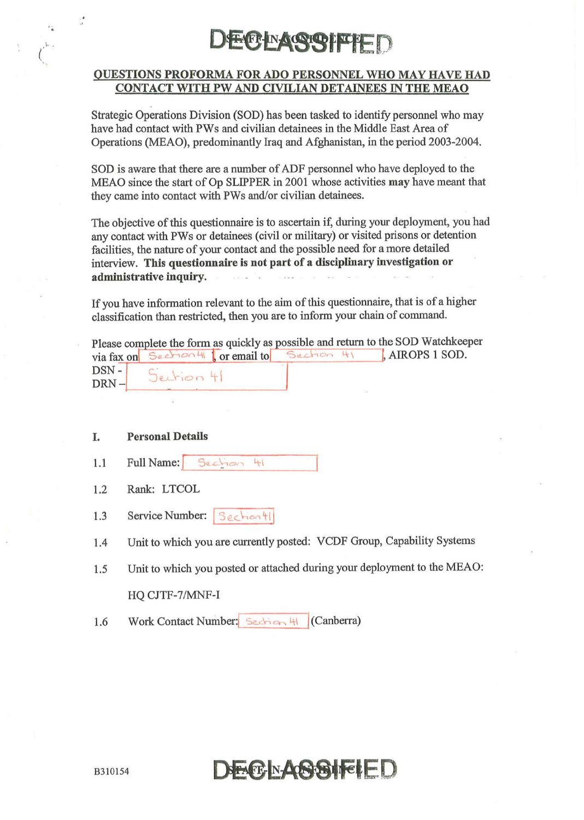

#### OUESTIONS PROFORMA FOR ADO PERSONNEL WHO MAY HAVE HAD CONTACT WITH PW AND CIVILIAN DETAINEES IN THE MEAO

Strategic Operations Division (SOD) has been tasked to identify personnel who may have had contact with PWs and civilian detainees in the Middle East Area of Operations (MEAO), predominantly Iraq and Afghanistan, in the period 2003-2004.

SOD is aware that there are a nwnber of ADF personnel who have deployed to the MEAO since the start of Op SLIPPER in 2001 whose activities may have meant that they came into contact with PWs and/or civilian detainees.

The objective of this questionnaire is to ascertain if, during your deployment, you had any contact with PWs or detainees (civil or military) or visited prisons or detention facilities, the nature of your contact and the possible need for a more detailed interview. This questionnaire is not part of a disciplinary investigation or administrative inquiry.

If you have information relevant to the aim of this questionnaire, that is of a higher classification than restricted, then you are to inform your chain of command.

| Please complete the form as quickly as possible and return to the SOD Watchkeeper |                 |  |  |  |                                                               |
|-----------------------------------------------------------------------------------|-----------------|--|--|--|---------------------------------------------------------------|
|                                                                                   |                 |  |  |  | via fax on Section 4   or email to Section 41   AIROPS 1 SOD. |
|                                                                                   | DSN- Section 41 |  |  |  |                                                               |
| $DRN -$                                                                           |                 |  |  |  |                                                               |

#### I. Personal Details

, .

 $\int_{\gamma_{T^{-1}}}$ 

- $1.1$  Full Name:  $3e<sub>c</sub>$  kg
- 1.2 Rank: LTCOL
- 1.3 Service Number:  $\frac{1}{3}$  echion | |
- 1.4 Unit to which you are currently posted: VCDF Group, Capability Systems
- 1.5 Unit to which you posted or attached during your deployment to the MEAO: HQ CJTF-7/MNF-I
- 1.6 Work Contact Number: Section 41 (Canberra)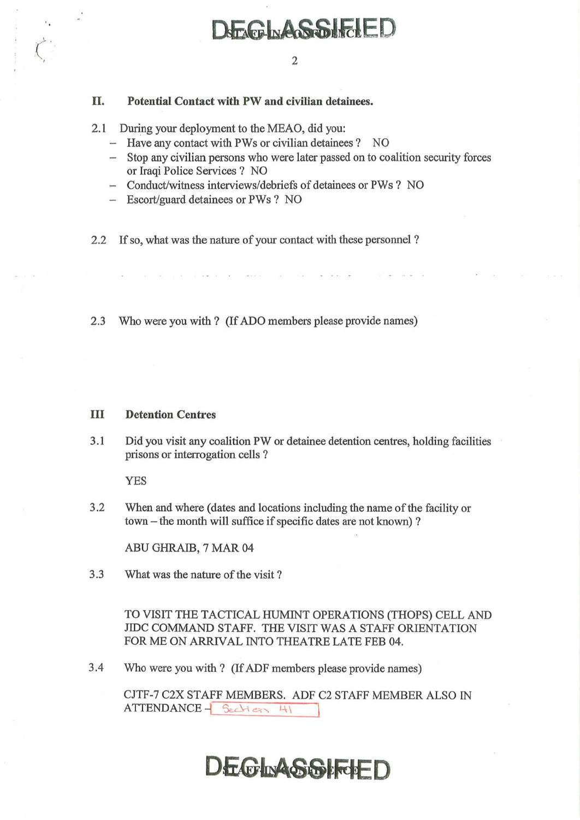# $\begin{array}{|c|c|c|c|c|}\hline \text{ } & \text{ } & \text{ } \text{ } & \text{ } \text{ } \text{ } \text{ } & \text{ } \text{ } \text{ } \text{ } & \text{ } \text{ } \text{ } & \text{ } \text{ } \text{ } \text{ } & \text{ } \text{ } \text{ } & \text{ } \text{ } \text{ } & \text{ } \text{ } \text{ } \text{ } \end{array}$

### 11. Potential Contact with PW and civilian detainees.

- 2.1 During your deployment to the MEAO, did you:
	- Have any contact with PWs or civilian detainees ? NO
	- Stop any civilian persons who were later passed on to coalition security forces or Iraqi Police Services? NO
	- Conduct/witness interviews/debriefs of detainees or PWs ? NO
	- Escort/guard detainees or PWs? NO
- 2.2 If so, what was the nature of your contact with these personnel ?

2.3 Who were you with? (If ADO members please provide names)

#### **III** Detention Centres

3.1 Did you visit any coalition PW or detainee detention centres, holding facilities prisons or interrogation cells?

YES

3.2 When and where (dates and locations including the name of the facility or town – the month will suffice if specific dates are not known)?

ABU GHRAIB, 7 MAR 04

3.3 What was the nature of the visit?

TO VISIT THE TACTICAL HUMINT OPERATIONS (THOPS) CELL AND JIDC COMMAND STAFF. THE VISIT WAS A STAFF ORIENTATION FOR ME ON ARRIVAL INTO THEATRE LATE FEB 04.

3.4 Who were you with? (If ADF members please provide names)

CJTF-7 C2X STAFF MEMBERS. ADF C2 STAFF MEMBER ALSO IN  $ATTENDANCE - \frac{6}{2}$ 

## **DEGINASSIFCHED**